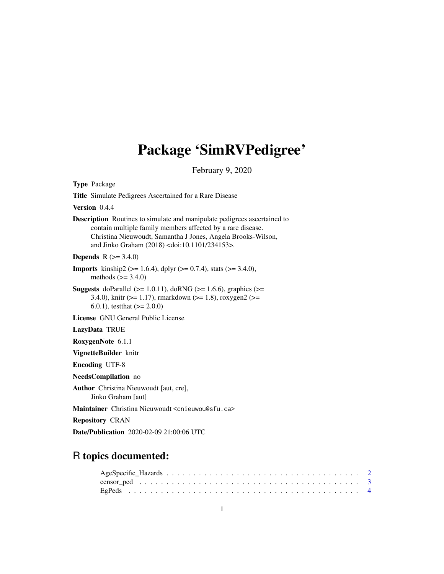# Package 'SimRVPedigree'

February 9, 2020

<span id="page-0-0"></span>

| <b>Type Package</b>                                                                                                                                                                                                                                                              |
|----------------------------------------------------------------------------------------------------------------------------------------------------------------------------------------------------------------------------------------------------------------------------------|
| <b>Title</b> Simulate Pedigrees Ascertained for a Rare Disease                                                                                                                                                                                                                   |
| Version 0.4.4                                                                                                                                                                                                                                                                    |
| <b>Description</b> Routines to simulate and manipulate pedigrees ascertained to<br>contain multiple family members affected by a rare disease.<br>Christina Nieuwoudt, Samantha J Jones, Angela Brooks-Wilson,<br>and Jinko Graham (2018) <doi:10.1101 234153="">.</doi:10.1101> |
| <b>Depends</b> $R (= 3.4.0)$                                                                                                                                                                                                                                                     |
| <b>Imports</b> kinship2 ( $> = 1.6.4$ ), dplyr ( $> = 0.7.4$ ), stats ( $> = 3.4.0$ ),<br>methods $(>= 3.4.0)$                                                                                                                                                                   |
| <b>Suggests</b> doParallel ( $>= 1.0.11$ ), doRNG ( $>= 1.6.6$ ), graphics ( $>=$<br>3.4.0), knitr ( $> = 1.17$ ), rmarkdown ( $> = 1.8$ ), roxygen2 ( $> =$<br>$(6.0.1)$ , test that $(>= 2.0.0)$                                                                               |
| License GNU General Public License                                                                                                                                                                                                                                               |
| LazyData TRUE                                                                                                                                                                                                                                                                    |
| RoxygenNote 6.1.1                                                                                                                                                                                                                                                                |
| VignetteBuilder knitr                                                                                                                                                                                                                                                            |
| <b>Encoding UTF-8</b>                                                                                                                                                                                                                                                            |
| NeedsCompilation no                                                                                                                                                                                                                                                              |
| <b>Author</b> Christina Nieuwoudt [aut, cre],<br>Jinko Graham [aut]                                                                                                                                                                                                              |
| Maintainer Christina Nieuwoudt <cnieuwou@sfu.ca></cnieuwou@sfu.ca>                                                                                                                                                                                                               |
| <b>Repository CRAN</b>                                                                                                                                                                                                                                                           |
| <b>Date/Publication</b> 2020-02-09 21:00:06 UTC                                                                                                                                                                                                                                  |

# R topics documented: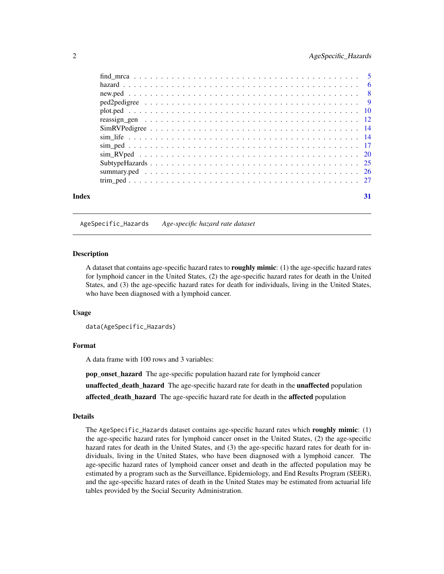<span id="page-1-0"></span>

| Index | 31 |
|-------|----|

#### AgeSpecific\_Hazards *Age-specific hazard rate dataset*

#### Description

A dataset that contains age-specific hazard rates to **roughly mimic**: (1) the age-specific hazard rates for lymphoid cancer in the United States, (2) the age-specific hazard rates for death in the United States, and (3) the age-specific hazard rates for death for individuals, living in the United States, who have been diagnosed with a lymphoid cancer.

#### Usage

data(AgeSpecific\_Hazards)

#### Format

A data frame with 100 rows and 3 variables:

pop\_onset\_hazard The age-specific population hazard rate for lymphoid cancer

unaffected\_death\_hazard The age-specific hazard rate for death in the unaffected population

affected\_death\_hazard The age-specific hazard rate for death in the affected population

#### Details

The AgeSpecific\_Hazards dataset contains age-specific hazard rates which roughly mimic: (1) the age-specific hazard rates for lymphoid cancer onset in the United States, (2) the age-specific hazard rates for death in the United States, and (3) the age-specific hazard rates for death for individuals, living in the United States, who have been diagnosed with a lymphoid cancer. The age-specific hazard rates of lymphoid cancer onset and death in the affected population may be estimated by a program such as the Surveillance, Epidemiology, and End Results Program (SEER), and the age-specific hazard rates of death in the United States may be estimated from actuarial life tables provided by the Social Security Administration.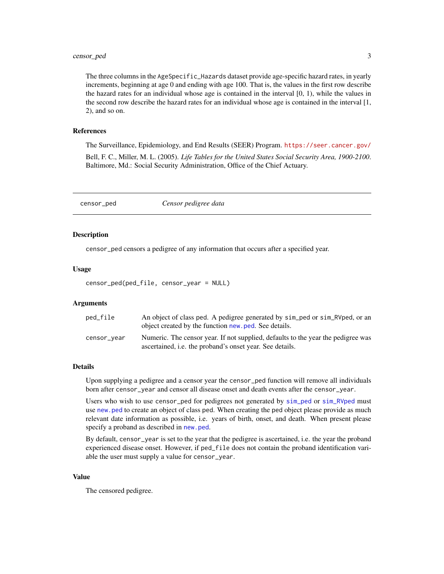# <span id="page-2-0"></span>censor\_ped 3

The three columns in the AgeSpecific\_Hazards dataset provide age-specific hazard rates, in yearly increments, beginning at age 0 and ending with age 100. That is, the values in the first row describe the hazard rates for an individual whose age is contained in the interval [0, 1), while the values in the second row describe the hazard rates for an individual whose age is contained in the interval [1, 2), and so on.

#### References

The Surveillance, Epidemiology, and End Results (SEER) Program. <https://seer.cancer.gov/> Bell, F. C., Miller, M. L. (2005). *Life Tables for the United States Social Security Area, 1900-2100*. Baltimore, Md.: Social Security Administration, Office of the Chief Actuary.

<span id="page-2-1"></span>censor\_ped *Censor pedigree data*

# Description

censor\_ped censors a pedigree of any information that occurs after a specified year.

#### Usage

censor\_ped(ped\_file, censor\_year = NULL)

# Arguments

| ped_file    | An object of class ped. A pedigree generated by sim_ped or sim_RVped, or an<br>object created by the function new ped. See details.                 |
|-------------|-----------------------------------------------------------------------------------------------------------------------------------------------------|
| censor_year | Numeric. The censor year. If not supplied, defaults to the year the pedigree was<br>ascertained, <i>i.e.</i> the proband's onset year. See details. |

# Details

Upon supplying a pedigree and a censor year the censor\_ped function will remove all individuals born after censor\_year and censor all disease onset and death events after the censor\_year.

Users who wish to use censor\_ped for pedigrees not generated by [sim\\_ped](#page-16-1) or [sim\\_RVped](#page-19-1) must use [new.ped](#page-7-1) to create an object of class ped. When creating the ped object please provide as much relevant date information as possible, i.e. years of birth, onset, and death. When present please specify a proband as described in [new.ped](#page-7-1).

By default, censor\_year is set to the year that the pedigree is ascertained, i.e. the year the proband experienced disease onset. However, if ped\_file does not contain the proband identification variable the user must supply a value for censor\_year.

#### Value

The censored pedigree.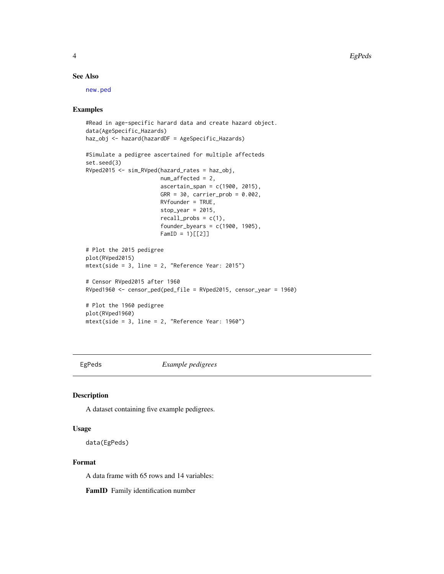# <span id="page-3-0"></span>See Also

[new.ped](#page-7-1)

#### Examples

```
#Read in age-specific harard data and create hazard object.
data(AgeSpecific_Hazards)
haz_obj <- hazard(hazardDF = AgeSpecific_Hazards)
#Simulate a pedigree ascertained for multiple affecteds
set.seed(3)
RVped2015 <- sim_RVped(hazard_rates = haz_obj,
                       num_affected = 2,
                       ascertain_span = c(1900, 2015),
                       GRR = 30, carrier_prob = 0.002,
                       RVfounder = TRUE,
                       stop\_year = 2015,
                       recall_prob = c(1),founder_byears = c(1900, 1905),
                       FamID = 1)[[2]]# Plot the 2015 pedigree
plot(RVped2015)
mtext(side = 3, line = 2, "Reference Year: 2015")
# Censor RVped2015 after 1960
RVped1960 <- censor_ped(ped_file = RVped2015, censor_year = 1960)
# Plot the 1960 pedigree
plot(RVped1960)
mtext(side = 3, line = 2, "Reference Year: 1960")
```
EgPeds *Example pedigrees*

#### Description

A dataset containing five example pedigrees.

#### Usage

data(EgPeds)

# Format

A data frame with 65 rows and 14 variables:

FamID Family identification number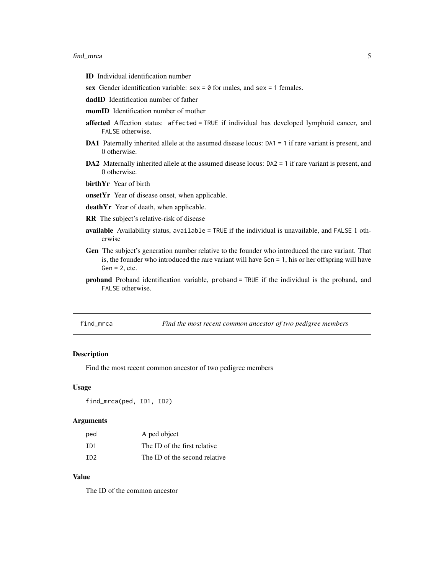- <span id="page-4-0"></span>ID Individual identification number
- sex Gender identification variable:  $sex = 0$  for males, and  $sex = 1$  females.
- dadID Identification number of father
- momID Identification number of mother
- affected Affection status: affected = TRUE if individual has developed lymphoid cancer, and FALSE otherwise.
- DA1 Paternally inherited allele at the assumed disease locus: DA1 = 1 if rare variant is present, and 0 otherwise.
- DA2 Maternally inherited allele at the assumed disease locus: DA2 = 1 if rare variant is present, and 0 otherwise.
- birthYr Year of birth
- onsetYr Year of disease onset, when applicable.
- deathYr Year of death, when applicable.
- RR The subject's relative-risk of disease
- available Availability status, available = TRUE if the individual is unavailable, and FALSE 1 otherwise
- Gen The subject's generation number relative to the founder who introduced the rare variant. That is, the founder who introduced the rare variant will have Gen = 1, his or her offspring will have  $Gen = 2, etc.$
- proband Proband identification variable, proband = TRUE if the individual is the proband, and FALSE otherwise.

find\_mrca *Find the most recent common ancestor of two pedigree members*

# Description

Find the most recent common ancestor of two pedigree members

#### Usage

find\_mrca(ped, ID1, ID2)

#### Arguments

| ped              | A ped object                  |
|------------------|-------------------------------|
| T <sub>D</sub> 1 | The ID of the first relative  |
| TD <sub>2</sub>  | The ID of the second relative |

# Value

The ID of the common ancestor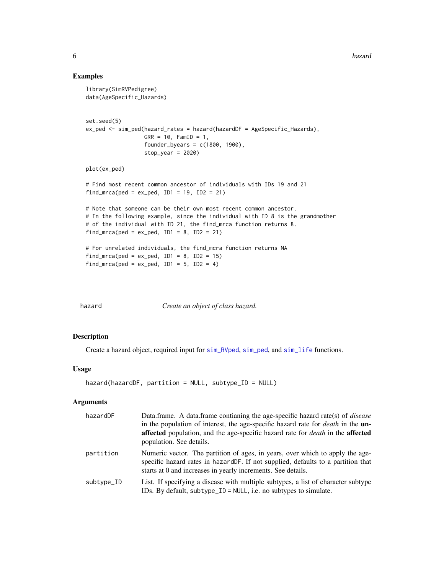#### Examples

```
library(SimRVPedigree)
data(AgeSpecific_Hazards)
set.seed(5)
ex_ped <- sim_ped(hazard_rates = hazard(hazardDF = AgeSpecific_Hazards),
                  GRR = 10, FamID = 1,
                  founder_byears = c(1800, 1900),
                  stop_year = 2020)
plot(ex_ped)
# Find most recent common ancestor of individuals with IDs 19 and 21
find_mrca(ped = ex_ped, ID1 = 19, ID2 = 21)
# Note that someone can be their own most recent common ancestor.
# In the following example, since the individual with ID 8 is the grandmother
# of the individual with ID 21, the find_mrca function returns 8.
find_mrca(ped = ex_ped, ID1 = 8, ID2 = 21)
# For unrelated individuals, the find_mcra function returns NA
find_mrca(ped = ex_ped, ID1 = 8, ID2 = 15)
find_mrca(ped = ex_ped, ID1 = 5, ID2 = 4)
```
<span id="page-5-1"></span>hazard *Create an object of class hazard.*

#### Description

Create a hazard object, required input for [sim\\_RVped](#page-19-1), [sim\\_ped](#page-16-1), and [sim\\_life](#page-13-1) functions.

# Usage

```
hazard(hazardDF, partition = NULL, subtype_ID = NULL)
```
# Arguments

| hazardDF   | Data frame. A data frame continuing the age-specific hazard rate(s) of <i>disease</i><br>in the population of interest, the age-specific hazard rate for <i>death</i> in the <b>un</b> -<br>affected population, and the age-specific hazard rate for <i>death</i> in the affected<br>population. See details. |
|------------|----------------------------------------------------------------------------------------------------------------------------------------------------------------------------------------------------------------------------------------------------------------------------------------------------------------|
| partition  | Numeric vector. The partition of ages, in years, over which to apply the age-<br>specific hazard rates in hazard DF. If not supplied, defaults to a partition that<br>starts at 0 and increases in yearly increments. See details.                                                                             |
| subtype_ID | List. If specifying a disease with multiple subtypes, a list of character subtype<br>IDs. By default, subtype_ID = $NULL$ , i.e. no subtypes to simulate.                                                                                                                                                      |

<span id="page-5-0"></span>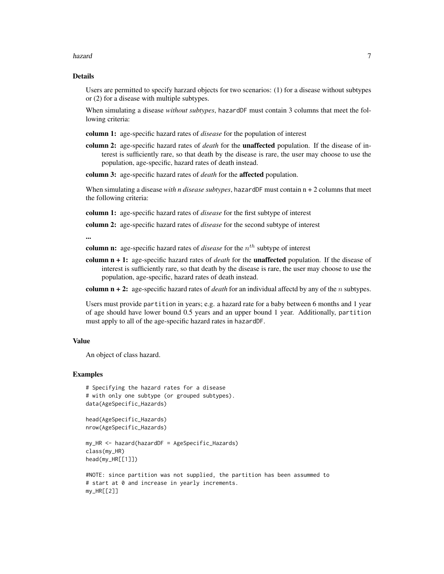#### hazard 7 and 7 and 7 and 7 and 7 and 7 and 7 and 7 and 7 and 7 and 7 and 7 and 7 and 7 and 7 and 7 and 7 and 7

# Details

Users are permitted to specify harzard objects for two scenarios: (1) for a disease without subtypes or (2) for a disease with multiple subtypes.

When simulating a disease *without subtypes*, hazardDF must contain 3 columns that meet the following criteria:

column 1: age-specific hazard rates of *disease* for the population of interest

column 2: age-specific hazard rates of *death* for the unaffected population. If the disease of interest is sufficiently rare, so that death by the disease is rare, the user may choose to use the population, age-specific, hazard rates of death instead.

column 3: age-specific hazard rates of *death* for the affected population.

When simulating a disease *with n disease subtypes*, hazardDF must contain n + 2 columns that meet the following criteria:

column 1: age-specific hazard rates of *disease* for the first subtype of interest

column 2: age-specific hazard rates of *disease* for the second subtype of interest

...

column n: age-specific hazard rates of *disease* for the  $n<sup>th</sup>$  subtype of interest

column n + 1: age-specific hazard rates of *death* for the unaffected population. If the disease of interest is sufficiently rare, so that death by the disease is rare, the user may choose to use the population, age-specific, hazard rates of death instead.

column n + 2: age-specific hazard rates of *death* for an individual affectd by any of the n subtypes.

Users must provide partition in years; e.g. a hazard rate for a baby between 6 months and 1 year of age should have lower bound 0.5 years and an upper bound 1 year. Additionally, partition must apply to all of the age-specific hazard rates in hazardDF.

#### Value

An object of class hazard.

```
# Specifying the hazard rates for a disease
# with only one subtype (or grouped subtypes).
data(AgeSpecific_Hazards)
```

```
head(AgeSpecific_Hazards)
nrow(AgeSpecific_Hazards)
```

```
my_HR <- hazard(hazardDF = AgeSpecific_Hazards)
class(my_HR)
head(my_HR[[1]])
```

```
#NOTE: since partition was not supplied, the partition has been assummed to
# start at 0 and increase in yearly increments.
my_HR[[2]]
```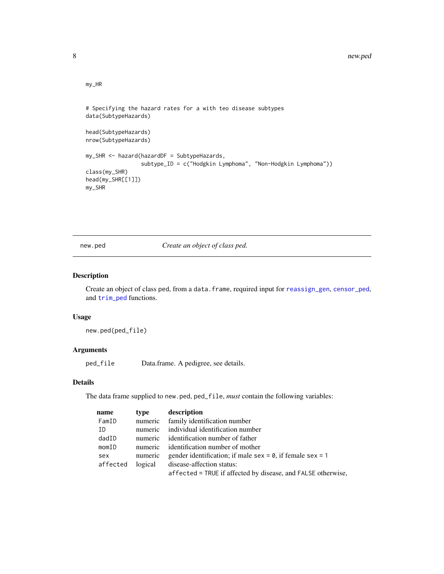# my\_HR

```
# Specifying the hazard rates for a with teo disease subtypes
data(SubtypeHazards)
head(SubtypeHazards)
nrow(SubtypeHazards)
my_SHR <- hazard(hazardDF = SubtypeHazards,
                 subtype_ID = c("Hodgkin Lymphoma", "Non-Hodgkin Lymphoma"))
class(my_SHR)
head(my_SHR[[1]])
my_SHR
```
<span id="page-7-1"></span>new.ped *Create an object of class ped.*

# Description

Create an object of class ped, from a data.frame, required input for [reassign\\_gen](#page-11-1), [censor\\_ped](#page-2-1), and [trim\\_ped](#page-26-1) functions.

#### Usage

new.ped(ped\_file)

#### Arguments

ped\_file Data.frame. A pedigree, see details.

#### Details

The data frame supplied to new.ped, ped\_file, *must* contain the following variables:

| name     | type    | description                                                       |
|----------|---------|-------------------------------------------------------------------|
| FamID    | numeric | family identification number                                      |
| ΙD       | numeric | individual identification number                                  |
| dadID    |         | numeric identification number of father                           |
| momID    | numeric | identification number of mother                                   |
| sex      | numeric | gender identification; if male sex = $\theta$ , if female sex = 1 |
| affected | logical | disease-affection status:                                         |
|          |         | affected = TRUE if affected by disease, and FALSE otherwise,      |

<span id="page-7-0"></span>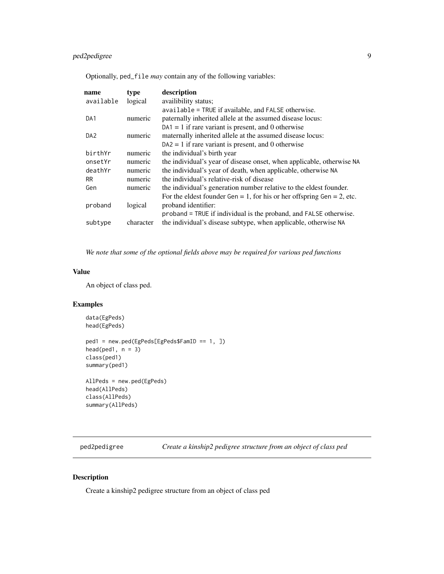# <span id="page-8-0"></span>ped2pedigree 9

Optionally, ped\_file *may* contain any of the following variables:

| name            | type      | description                                                            |
|-----------------|-----------|------------------------------------------------------------------------|
| available       | logical   | availibility status;                                                   |
|                 |           | available = TRUE if available, and FALSE otherwise.                    |
| DA1             | numeric   | paternally inherited allele at the assumed disease locus:              |
|                 |           | $DA1 = 1$ if rare variant is present, and 0 otherwise                  |
| DA <sub>2</sub> | numeric   | maternally inherited allele at the assumed disease locus:              |
|                 |           | $DA2 = 1$ if rare variant is present, and 0 otherwise                  |
| birthYr         | numeric   | the individual's birth year                                            |
| onsetYr         | numeric   | the individual's year of disease onset, when applicable, otherwise NA  |
| deathYr         | numeric   | the individual's year of death, when applicable, otherwise NA          |
| RR.             | numeric   | the individual's relative-risk of disease                              |
| Gen             | numeric   | the individual's generation number relative to the eldest founder.     |
|                 |           | For the eldest founder Gen = 1, for his or her offspring Gen = 2, etc. |
| proband         | logical   | proband identifier:                                                    |
|                 |           | proband = TRUE if individual is the proband, and FALSE otherwise.      |
| subtype         | character | the individual's disease subtype, when applicable, otherwise NA        |

*We note that some of the optional fields above may be required for various ped functions*

# Value

An object of class ped.

# Examples

```
data(EgPeds)
head(EgPeds)
```

```
ped1 = new.ped(EgPeds[EgPeds$FamID == 1, ])
head(ped1, n = 3)
class(ped1)
summary(ped1)
```

```
AllPeds = new.ped(EgPeds)
head(AllPeds)
class(AllPeds)
summary(AllPeds)
```
ped2pedigree *Create a kinship2 pedigree structure from an object of class ped*

# Description

Create a kinship2 pedigree structure from an object of class ped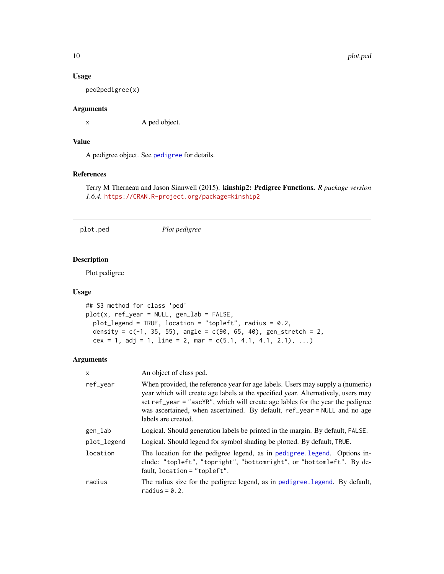# Usage

ped2pedigree(x)

# Arguments

x A ped object.

# Value

A pedigree object. See [pedigree](#page-0-0) for details.

# References

Terry M Therneau and Jason Sinnwell (2015). kinship2: Pedigree Functions. *R package version 1.6.4.* <https://CRAN.R-project.org/package=kinship2>

plot.ped *Plot pedigree*

# Description

Plot pedigree

#### Usage

```
## S3 method for class 'ped'
plot(x, ref_year = NULL, gen_lab = FALSE,
 plot_legend = TRUE, location = "topleft", radius = 0.2,
 density = c(-1, 35, 55), angle = c(90, 65, 40), gen_stretch = 2,
 cex = 1, adj = 1, line = 2, mar = c(5.1, 4.1, 4.1, 2.1), ...
```
# Arguments

| x           | An object of class ped.                                                                                                                                                                                                                                                                                                                                   |  |
|-------------|-----------------------------------------------------------------------------------------------------------------------------------------------------------------------------------------------------------------------------------------------------------------------------------------------------------------------------------------------------------|--|
| ref_vear    | When provided, the reference year for age labels. Users may supply a (numeric)<br>year which will create age labels at the specified year. Alternatively, users may<br>set ref_year = "ascYR", which will create age lables for the year the pedigree<br>was ascertained, when ascertained. By default, ref_year = NULL and no age<br>labels are created. |  |
| gen_lab     | Logical. Should generation labels be printed in the margin. By default, FALSE.                                                                                                                                                                                                                                                                            |  |
| plot_legend | Logical. Should legend for symbol shading be plotted. By default, TRUE.                                                                                                                                                                                                                                                                                   |  |
| location    | The location for the pedigree legend, as in pedigree legend. Options in-<br>clude: "topleft", "topright", "bottomright", or "bottomleft". By de-<br>fault, $location = "topleft".$                                                                                                                                                                        |  |
| radius      | The radius size for the pedigree legend, as in pedigree. Legend. By default,<br>radius = $0.2$ .                                                                                                                                                                                                                                                          |  |

<span id="page-9-0"></span>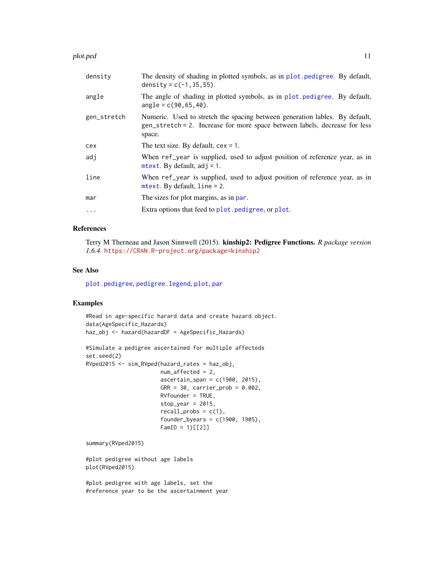#### <span id="page-10-0"></span>plot.ped 11

| density     | The density of shading in plotted symbols, as in plot pedigree. By default,<br>density = $c(-1, 35, 55)$ .                                                          |
|-------------|---------------------------------------------------------------------------------------------------------------------------------------------------------------------|
| angle       | The angle of shading in plotted symbols, as in plot pedigree. By default,<br>$angle = c(90, 65, 40).$                                                               |
| gen_stretch | Numeric. Used to stretch the spacing between generation lables. By default,<br>gen_stretch = 2. Increase for more space between labels, decrease for less<br>space. |
| cex         | The text size. By default, $cex = 1$ .                                                                                                                              |
| adi         | When ref_year is supplied, used to adjust position of reference year, as in<br>mtext. By default, $adj = 1$ .                                                       |
| line        | When ref_year is supplied, used to adjust position of reference year, as in<br>$mtext{text}. By default, line = 2.$                                                 |
| mar         | The sizes for plot margins, as in par.                                                                                                                              |
| $\ddots$ .  | Extra options that feed to plot. pedigree, or plot.                                                                                                                 |
|             |                                                                                                                                                                     |

# References

Terry M Therneau and Jason Sinnwell (2015). kinship2: Pedigree Functions. *R package version 1.6.4.* <https://CRAN.R-project.org/package=kinship2>

#### See Also

[plot.pedigree](#page-0-0), [pedigree.legend](#page-0-0), [plot](#page-0-0), [par](#page-0-0)

# Examples

```
#Read in age-specific harard data and create hazard object.
data(AgeSpecific_Hazards)
haz_obj <- hazard(hazardDF = AgeSpecific_Hazards)
#Simulate a pedigree ascertained for multiple affecteds
set.seed(2)
RVped2015 <- sim_RVped(hazard_rates = haz_obj,
                       num_affected = 2,
                       ascertain_span = c(1900, 2015),
                       GRR = 30, carrier_prob = 0.002,
                       RVfounder = TRUE,
                       stop\_year = 2015,
                       recall\_probs = c(1),
                       founder_byears = c(1900, 1905),
                       FamID = 1)[[2]]summary(RVped2015)
#plot pedigree without age labels
plot(RVped2015)
```
#plot pedigree with age labels, set the #reference year to be the ascertainment year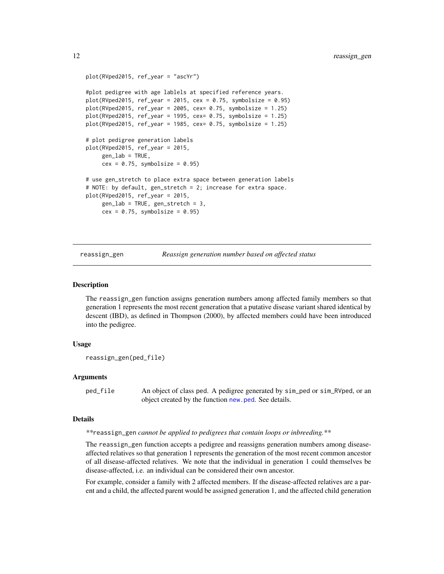```
plot(RVped2015, ref_year = "ascYr")
#plot pedigree with age lablels at specified reference years.
plot(RVped2015, ref_year = 2015, cex = 0.75, symbolsize = 0.95)plot(RVped2015, ref_year = 2005, cex = 0.75, symbolsize = 1.25)plot(RVped2015, ref_year = 1995, cex= 0.75, symbolsize = 1.25)
plot(RVped2015, ref_year = 1985, cex = 0.75, symbolsize = <math>1.25</math>)# plot pedigree generation labels
plot(RVped2015, ref_year = 2015,
     gen\_lab = TRUE,cex = 0.75, symbolsize = 0.95)
# use gen_stretch to place extra space between generation labels
# NOTE: by default, gen_stretch = 2; increase for extra space.
plot(RVped2015, ref_year = 2015,
     gen_lab = TRUE, gen_stretch = 3,
     cex = 0.75, symbolsize = 0.95)
```
reassign\_gen *Reassign generation number based on affected status*

#### **Description**

The reassign\_gen function assigns generation numbers among affected family members so that generation 1 represents the most recent generation that a putative disease variant shared identical by descent (IBD), as defined in Thompson (2000), by affected members could have been introduced into the pedigree.

#### Usage

```
reassign_gen(ped_file)
```
# Arguments

ped\_file An object of class ped. A pedigree generated by sim\_ped or sim\_RVped, or an object created by the function [new.ped](#page-7-1). See details.

# Details

*\*\**reassign\_gen *cannot be applied to pedigrees that contain loops or inbreeding.\*\**

The reassign\_gen function accepts a pedigree and reassigns generation numbers among diseaseaffected relatives so that generation 1 represents the generation of the most recent common ancestor of all disease-affected relatives. We note that the individual in generation 1 could themselves be disease-affected, i.e. an individual can be considered their own ancestor.

For example, consider a family with 2 affected members. If the disease-affected relatives are a parent and a child, the affected parent would be assigned generation 1, and the affected child generation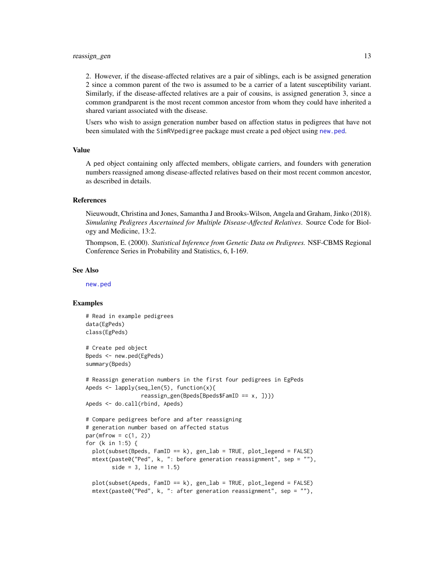#### <span id="page-12-0"></span>reassign\_gen 13

2. However, if the disease-affected relatives are a pair of siblings, each is be assigned generation 2 since a common parent of the two is assumed to be a carrier of a latent susceptibility variant. Similarly, if the disease-affected relatives are a pair of cousins, is assigned generation 3, since a common grandparent is the most recent common ancestor from whom they could have inherited a shared variant associated with the disease.

Users who wish to assign generation number based on affection status in pedigrees that have not been simulated with the SimRVpedigree package must create a ped object using [new.ped](#page-7-1).

#### Value

A ped object containing only affected members, obligate carriers, and founders with generation numbers reassigned among disease-affected relatives based on their most recent common ancestor, as described in details.

#### References

Nieuwoudt, Christina and Jones, Samantha J and Brooks-Wilson, Angela and Graham, Jinko (2018). *Simulating Pedigrees Ascertained for Multiple Disease-Affected Relatives*. Source Code for Biology and Medicine, 13:2.

Thompson, E. (2000). *Statistical Inference from Genetic Data on Pedigrees.* NSF-CBMS Regional Conference Series in Probability and Statistics, 6, I-169.

#### See Also

[new.ped](#page-7-1)

```
# Read in example pedigrees
data(EgPeds)
class(EgPeds)
# Create ped object
Bpeds <- new.ped(EgPeds)
summary(Bpeds)
# Reassign generation numbers in the first four pedigrees in EgPeds
Apeds <- lapply(seq_len(5), function(x){
                 reassign_gen(Bpeds[Bpeds$FamID == x, ])})
Apeds <- do.call(rbind, Apeds)
# Compare pedigrees before and after reassigning
# generation number based on affected status
par(mfrow = c(1, 2))for (k in 1:5) {
 plot(subset(Bpeds, FamID == k), gen_lab = TRUE, plot_legend = FALSE)
 mtext(paste0("Ped", k, ": before generation reassignment", sep = ""),
       side = 3, line = 1.5)plot(subset(Apeds, FamID == k), gen_lab = TRUE, plot_legend = FALSE)
 mtext(paste0("Ped", k, ": after generation reassignment", sep = ""),
```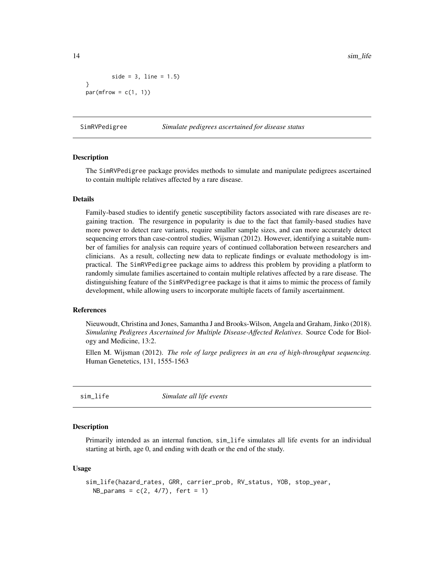14 sim\_life sim\_life sim\_life sim\_life sim\_life sim\_life sim\_life sim\_life sim\_life sim\_life sim\_life sim\_life

```
side = 3, line = 1.5)}
par(mfrow = c(1, 1))
```
SimRVPedigree *Simulate pedigrees ascertained for disease status*

#### Description

The SimRVPedigree package provides methods to simulate and manipulate pedigrees ascertained to contain multiple relatives affected by a rare disease.

# Details

Family-based studies to identify genetic susceptibility factors associated with rare diseases are regaining traction. The resurgence in popularity is due to the fact that family-based studies have more power to detect rare variants, require smaller sample sizes, and can more accurately detect sequencing errors than case-control studies, Wijsman (2012). However, identifying a suitable number of families for analysis can require years of continued collaboration between researchers and clinicians. As a result, collecting new data to replicate findings or evaluate methodology is impractical. The SimRVPedigree package aims to address this problem by providing a platform to randomly simulate families ascertained to contain multiple relatives affected by a rare disease. The distinguishing feature of the SimRVPedigree package is that it aims to mimic the process of family development, while allowing users to incorporate multiple facets of family ascertainment.

# References

Nieuwoudt, Christina and Jones, Samantha J and Brooks-Wilson, Angela and Graham, Jinko (2018). *Simulating Pedigrees Ascertained for Multiple Disease-Affected Relatives*. Source Code for Biology and Medicine, 13:2.

Ellen M. Wijsman (2012). *The role of large pedigrees in an era of high-throughput sequencing.* Human Genetetics, 131, 1555-1563

<span id="page-13-1"></span>sim\_life *Simulate all life events*

# Description

Primarily intended as an internal function, sim\_life simulates all life events for an individual starting at birth, age 0, and ending with death or the end of the study.

#### Usage

```
sim_life(hazard_rates, GRR, carrier_prob, RV_status, YOB, stop_year,
 NB_params = c(2, 4/7), fert = 1)
```
<span id="page-13-0"></span>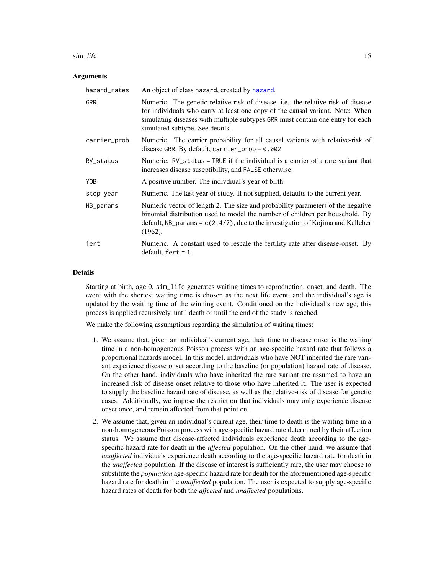#### <span id="page-14-0"></span>sim\_life 15

#### Arguments

| hazard_rates | An object of class hazard, created by hazard.                                                                                                                                                                                                                                          |
|--------------|----------------------------------------------------------------------------------------------------------------------------------------------------------------------------------------------------------------------------------------------------------------------------------------|
| <b>GRR</b>   | Numeric. The genetic relative-risk of disease, i.e. the relative-risk of disease<br>for individuals who carry at least one copy of the causal variant. Note: When<br>simulating diseases with multiple subtypes GRR must contain one entry for each<br>simulated subtype. See details. |
| carrier_prob | Numeric. The carrier probability for all causal variants with relative-risk of<br>disease GRR. By default, carrier_prob = $0.002$                                                                                                                                                      |
| RV_status    | Numeric. RV_status = TRUE if the individual is a carrier of a rare variant that<br>increases disease suseptibility, and FALSE otherwise.                                                                                                                                               |
| Y0B          | A positive number. The individual's year of birth.                                                                                                                                                                                                                                     |
| stop_year    | Numeric. The last year of study. If not supplied, defaults to the current year.                                                                                                                                                                                                        |
| NB_params    | Numeric vector of length 2. The size and probability parameters of the negative<br>binomial distribution used to model the number of children per household. By<br>default, NB params = $c(2, 4/7)$ , due to the investigation of Kojima and Kelleher<br>(1962).                       |
| fert         | Numeric. A constant used to rescale the fertility rate after disease-onset. By<br>$default, fert = 1.$                                                                                                                                                                                 |

#### Details

Starting at birth, age 0, sim\_life generates waiting times to reproduction, onset, and death. The event with the shortest waiting time is chosen as the next life event, and the individual's age is updated by the waiting time of the winning event. Conditioned on the individual's new age, this process is applied recursively, until death or until the end of the study is reached.

We make the following assumptions regarding the simulation of waiting times:

- 1. We assume that, given an individual's current age, their time to disease onset is the waiting time in a non-homogeneous Poisson process with an age-specific hazard rate that follows a proportional hazards model. In this model, individuals who have NOT inherited the rare variant experience disease onset according to the baseline (or population) hazard rate of disease. On the other hand, individuals who have inherited the rare variant are assumed to have an increased risk of disease onset relative to those who have inherited it. The user is expected to supply the baseline hazard rate of disease, as well as the relative-risk of disease for genetic cases. Additionally, we impose the restriction that individuals may only experience disease onset once, and remain affected from that point on.
- 2. We assume that, given an individual's current age, their time to death is the waiting time in a non-homogeneous Poisson process with age-specific hazard rate determined by their affection status. We assume that disease-affected individuals experience death according to the agespecific hazard rate for death in the *affected* population. On the other hand, we assume that *unaffected* individuals experience death according to the age-specific hazard rate for death in the *unaffected* population. If the disease of interest is sufficiently rare, the user may choose to substitute the *population* age-specific hazard rate for death for the aforementioned age-specific hazard rate for death in the *unaffected* population. The user is expected to supply age-specific hazard rates of death for both the *affected* and *unaffected* populations.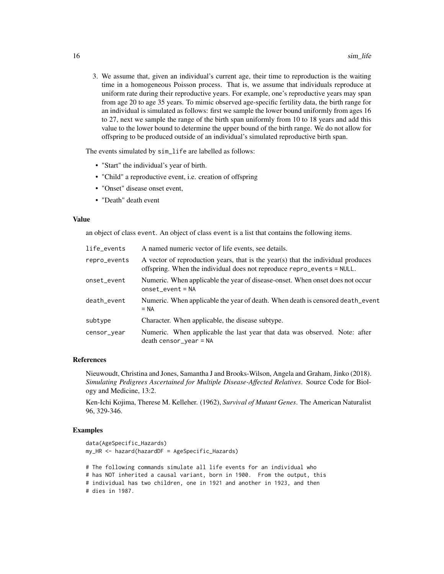3. We assume that, given an individual's current age, their time to reproduction is the waiting time in a homogeneous Poisson process. That is, we assume that individuals reproduce at uniform rate during their reproductive years. For example, one's reproductive years may span from age 20 to age 35 years. To mimic observed age-specific fertility data, the birth range for an individual is simulated as follows: first we sample the lower bound uniformly from ages 16 to 27, next we sample the range of the birth span uniformly from 10 to 18 years and add this value to the lower bound to determine the upper bound of the birth range. We do not allow for offspring to be produced outside of an individual's simulated reproductive birth span.

The events simulated by sim\_life are labelled as follows:

- "Start" the individual's year of birth.
- "Child" a reproductive event, i.e. creation of offspring
- "Onset" disease onset event,
- "Death" death event

# Value

an object of class event. An object of class event is a list that contains the following items.

| life_events  | A named numeric vector of life events, see details.                                                                                                        |  |
|--------------|------------------------------------------------------------------------------------------------------------------------------------------------------------|--|
| repro_events | A vector of reproduction years, that is the year(s) that the individual produces<br>offspring. When the individual does not reproduce repro_events = NULL. |  |
| onset_event  | Numeric. When applicable the year of disease-onset. When onset does not occur<br>$onset\_event = NA$                                                       |  |
| death_event  | Numeric. When applicable the year of death. When death is censored death_event<br>$= NA$                                                                   |  |
| subtype      | Character. When applicable, the disease subtype.                                                                                                           |  |
| censor_year  | Numeric. When applicable the last year that data was observed. Note: after<br>$death$ censor_year = NA                                                     |  |

#### References

Nieuwoudt, Christina and Jones, Samantha J and Brooks-Wilson, Angela and Graham, Jinko (2018). *Simulating Pedigrees Ascertained for Multiple Disease-Affected Relatives*. Source Code for Biology and Medicine, 13:2.

Ken-Ichi Kojima, Therese M. Kelleher. (1962), *Survival of Mutant Genes*. The American Naturalist 96, 329-346.

```
data(AgeSpecific_Hazards)
my_HR <- hazard(hazardDF = AgeSpecific_Hazards)
# The following commands simulate all life events for an individual who
# has NOT inherited a causal variant, born in 1900. From the output, this
# individual has two children, one in 1921 and another in 1923, and then
# dies in 1987.
```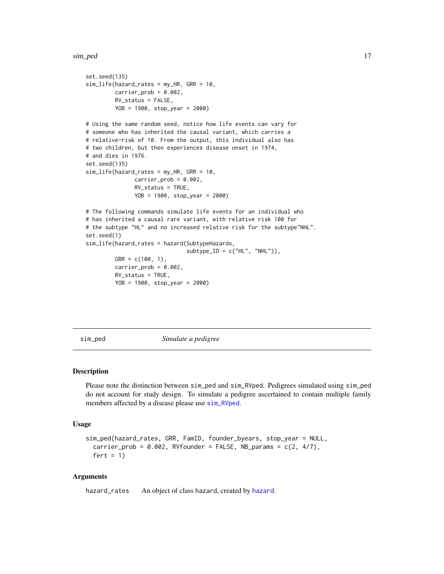<span id="page-16-0"></span>sim\_ped 17

```
set.seed(135)
sim_life(hazard_rates = my_HR, GRR = 10,
        carrier_prob = 0.002,
        RV_status = FALSE,
        YOB = 1900, stop_year = 2000)
# Using the same random seed, notice how life events can vary for
# someone who has inherited the causal variant, which carries a
# relative-risk of 10. From the output, this individual also has
# two children, but then experiences disease onset in 1974,
# and dies in 1976.
set.seed(135)
sim_life(hazard_rates = my_HR, GRR = 10,
               carrier\_prob = 0.002,
               RV_status = TRUE,
               YOB = 1900, stop_year = 2000)
# The following commands simulate life events for an individual who
# has inherited a causal rare variant, with relative risk 100 for
# the subtype "HL" and no increased relative risk for the subtype"NHL".
set.seed(1)
sim_life(hazard_rates = hazard(SubtypeHazards,
                               subtype\_ID = c("HL", "NHL")),
         GRR = c(100, 1),carrier_prob = 0.002,
         RV_status = TRUE,
         YOB = 1900, stop_year = 2000)
```
<span id="page-16-1"></span>

sim\_ped *Simulate a pedigree*

# Description

Please note the distinction between sim\_ped and sim\_RVped. Pedigrees simulated using sim\_ped do not account for study design. To simulate a pedigree ascertained to contain multiple family members affected by a disease please use [sim\\_RVped](#page-19-1).

#### Usage

```
sim_ped(hazard_rates, GRR, FamID, founder_byears, stop_year = NULL,
 carrier_prob = 0.002, RVfounder = FALSE, NB_params = c(2, 4/7),
 fert = 1)
```
# Arguments

hazard\_rates An object of class hazard, created by [hazard](#page-5-1).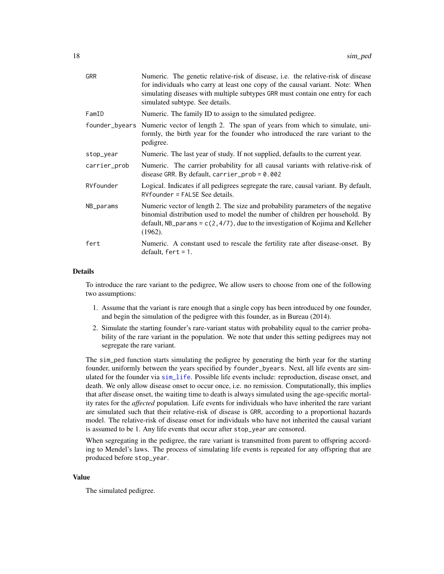<span id="page-17-0"></span>

| <b>GRR</b>   | Numeric. The genetic relative-risk of disease, i.e. the relative-risk of disease<br>for individuals who carry at least one copy of the causal variant. Note: When<br>simulating diseases with multiple subtypes GRR must contain one entry for each<br>simulated subtype. See details. |  |  |
|--------------|----------------------------------------------------------------------------------------------------------------------------------------------------------------------------------------------------------------------------------------------------------------------------------------|--|--|
| FamID        | Numeric. The family ID to assign to the simulated pedigree.                                                                                                                                                                                                                            |  |  |
|              | founder_byears Numeric vector of length 2. The span of years from which to simulate, uni-<br>formly, the birth year for the founder who introduced the rare variant to the<br>pedigree.                                                                                                |  |  |
| stop_year    | Numeric. The last year of study. If not supplied, defaults to the current year.                                                                                                                                                                                                        |  |  |
| carrier_prob | Numeric. The carrier probability for all causal variants with relative-risk of<br>disease GRR. By default, carrier_prob = $0.002$                                                                                                                                                      |  |  |
| RVfounder    | Logical. Indicates if all pedigrees segregate the rare, causal variant. By default,<br>$RV$ founder = FALSE See details.                                                                                                                                                               |  |  |
| NB_params    | Numeric vector of length 2. The size and probability parameters of the negative<br>binomial distribution used to model the number of children per household. By<br>default, NB params = $c(2, 4/7)$ , due to the investigation of Kojima and Kelleher<br>(1962).                       |  |  |
| fert         | Numeric. A constant used to rescale the fertility rate after disease-onset. By<br>$default, fert = 1.$                                                                                                                                                                                 |  |  |

#### Details

To introduce the rare variant to the pedigree, We allow users to choose from one of the following two assumptions:

- 1. Assume that the variant is rare enough that a single copy has been introduced by one founder, and begin the simulation of the pedigree with this founder, as in Bureau (2014).
- 2. Simulate the starting founder's rare-variant status with probability equal to the carrier probability of the rare variant in the population. We note that under this setting pedigrees may not segregate the rare variant.

The sim\_ped function starts simulating the pedigree by generating the birth year for the starting founder, uniformly between the years specified by founder\_byears. Next, all life events are simulated for the founder via [sim\\_life](#page-13-1). Possible life events include: reproduction, disease onset, and death. We only allow disease onset to occur once, i.e. no remission. Computationally, this implies that after disease onset, the waiting time to death is always simulated using the age-specific mortality rates for the *affected* population. Life events for individuals who have inherited the rare variant are simulated such that their relative-risk of disease is GRR, according to a proportional hazards model. The relative-risk of disease onset for individuals who have not inherited the causal variant is assumed to be 1. Any life events that occur after stop\_year are censored.

When segregating in the pedigree, the rare variant is transmitted from parent to offspring according to Mendel's laws. The process of simulating life events is repeated for any offspring that are produced before stop\_year.

#### Value

The simulated pedigree.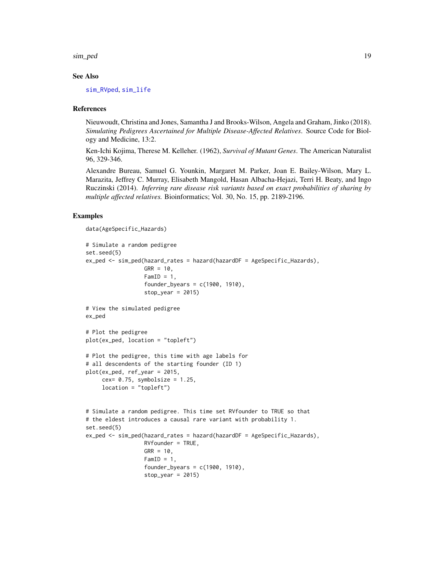<span id="page-18-0"></span>sim\_ped 19

#### See Also

[sim\\_RVped](#page-19-1), [sim\\_life](#page-13-1)

#### References

Nieuwoudt, Christina and Jones, Samantha J and Brooks-Wilson, Angela and Graham, Jinko (2018). *Simulating Pedigrees Ascertained for Multiple Disease-Affected Relatives*. Source Code for Biology and Medicine, 13:2.

Ken-Ichi Kojima, Therese M. Kelleher. (1962), *Survival of Mutant Genes*. The American Naturalist 96, 329-346.

Alexandre Bureau, Samuel G. Younkin, Margaret M. Parker, Joan E. Bailey-Wilson, Mary L. Marazita, Jeffrey C. Murray, Elisabeth Mangold, Hasan Albacha-Hejazi, Terri H. Beaty, and Ingo Ruczinski (2014). *Inferring rare disease risk variants based on exact probabilities of sharing by multiple affected relatives.* Bioinformatics; Vol. 30, No. 15, pp. 2189-2196.

```
data(AgeSpecific_Hazards)
```

```
# Simulate a random pedigree
set.seed(5)
ex_ped <- sim_ped(hazard_rates = hazard(hazardDF = AgeSpecific_Hazards),
                  GRR = 10.
                  FamID = 1,
                  founder_byears = c(1900, 1910),
                  stop_year = 2015)
# View the simulated pedigree
ex_ped
# Plot the pedigree
plot(ex_ped, location = "topleft")
# Plot the pedigree, this time with age labels for
# all descendents of the starting founder (ID 1)
plot(ex_ped, ref_year = 2015,
     cex= 0.75, symbolsize = 1.25,
     location = "topleft")
# Simulate a random pedigree. This time set RVfounder to TRUE so that
# the eldest introduces a causal rare variant with probability 1.
set.seed(5)
ex_ped <- sim_ped(hazard_rates = hazard(hazardDF = AgeSpecific_Hazards),
                  RVfounder = TRUE,
                  GRR = 10,
                  FamID = 1,
                  founder_byears = c(1900, 1910),
                  stop_year = 2015)
```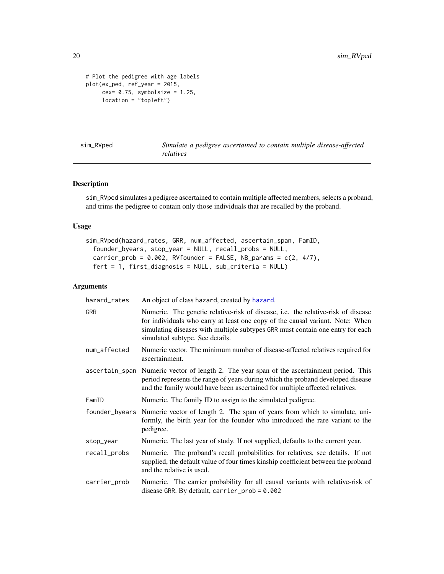```
# Plot the pedigree with age labels
plot(ex_ped, ref_year = 2015,
     cex= 0.75, symbolsize = 1.25,
     location = "topleft")
```
<span id="page-19-1"></span>sim\_RVped *Simulate a pedigree ascertained to contain multiple disease-affected relatives*

# Description

sim\_RVped simulates a pedigree ascertained to contain multiple affected members, selects a proband, and trims the pedigree to contain only those individuals that are recalled by the proband.

# Usage

```
sim_RVped(hazard_rates, GRR, num_affected, ascertain_span, FamID,
  founder_byears, stop_year = NULL, recall_probs = NULL,
 carrier_prob = 0.002, RVfounder = FALSE, NB_params = c(2, 4/7),
 fert = 1, first_diagnosis = NULL, sub_criteria = NULL)
```
# Arguments

| hazard_rates | An object of class hazard, created by hazard.                                                                                                                                                                                                                                          |  |  |
|--------------|----------------------------------------------------------------------------------------------------------------------------------------------------------------------------------------------------------------------------------------------------------------------------------------|--|--|
| <b>GRR</b>   | Numeric. The genetic relative-risk of disease, i.e. the relative-risk of disease<br>for individuals who carry at least one copy of the causal variant. Note: When<br>simulating diseases with multiple subtypes GRR must contain one entry for each<br>simulated subtype. See details. |  |  |
| num_affected | Numeric vector. The minimum number of disease-affected relatives required for<br>ascertainment.                                                                                                                                                                                        |  |  |
|              | ascertain_span Numeric vector of length 2. The year span of the ascertainment period. This<br>period represents the range of years during which the proband developed disease<br>and the family would have been ascertained for multiple affected relatives.                           |  |  |
| FamID        | Numeric. The family ID to assign to the simulated pedigree.                                                                                                                                                                                                                            |  |  |
|              | founder_byears Numeric vector of length 2. The span of years from which to simulate, uni-<br>formly, the birth year for the founder who introduced the rare variant to the<br>pedigree.                                                                                                |  |  |
| stop_year    | Numeric. The last year of study. If not supplied, defaults to the current year.                                                                                                                                                                                                        |  |  |
| recall_probs | Numeric. The proband's recall probabilities for relatives, see details. If not<br>supplied, the default value of four times kinship coefficient between the proband<br>and the relative is used.                                                                                       |  |  |
|              |                                                                                                                                                                                                                                                                                        |  |  |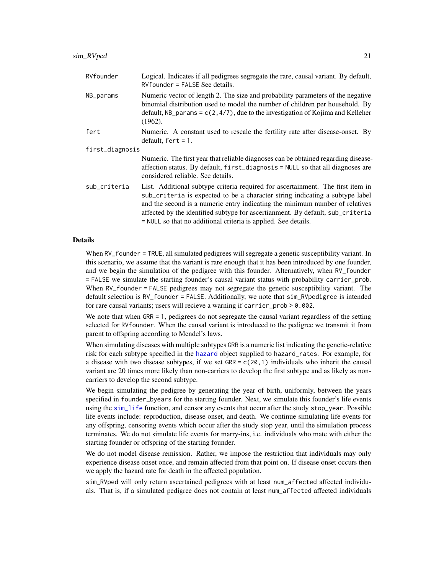<span id="page-20-0"></span>

| RVfounder       | Logical. Indicates if all pedigrees segregate the rare, causal variant. By default,<br>$RV$ founder = FALSE See details.                                                                                                                                                                                                                                                                            |  |
|-----------------|-----------------------------------------------------------------------------------------------------------------------------------------------------------------------------------------------------------------------------------------------------------------------------------------------------------------------------------------------------------------------------------------------------|--|
| NB_params       | Numeric vector of length 2. The size and probability parameters of the negative<br>binomial distribution used to model the number of children per household. By<br>default, NB_params = $c(2, 4/7)$ , due to the investigation of Kojima and Kelleher<br>$(1962)$ .                                                                                                                                 |  |
| fert            | Numeric. A constant used to rescale the fertility rate after disease-onset. By<br>default, $fert = 1$ .                                                                                                                                                                                                                                                                                             |  |
| first_diagnosis |                                                                                                                                                                                                                                                                                                                                                                                                     |  |
|                 | Numeric. The first year that reliable diagnoses can be obtained regarding disease-<br>affection status. By default, first_diagnosis = NULL so that all diagnoses are<br>considered reliable. See details.                                                                                                                                                                                           |  |
| sub_criteria    | List. Additional subtype criteria required for ascertainment. The first item in<br>sub_criteria is expected to be a character string indicating a subtype label<br>and the second is a numeric entry indicating the minimum number of relatives<br>affected by the identified subtype for ascertianment. By default, sub_criteria<br>= NULL so that no additional criteria is applied. See details. |  |

#### Details

When RV\_founder = TRUE, all simulated pedigrees will segregate a genetic susceptibility variant. In this scenario, we assume that the variant is rare enough that it has been introduced by one founder, and we begin the simulation of the pedigree with this founder. Alternatively, when RV\_founder = FALSE we simulate the starting founder's causal variant status with probability carrier\_prob. When RV\_founder = FALSE pedigrees may not segregate the genetic susceptibility variant. The default selection is RV\_founder = FALSE. Additionally, we note that sim\_RVpedigree is intended for rare causal variants; users will recieve a warning if carrier\_prob > 0.002.

We note that when GRR = 1, pedigrees do not segregate the causal variant regardless of the setting selected for RVfounder. When the causal variant is introduced to the pedigree we transmit it from parent to offspring according to Mendel's laws.

When simulating diseases with multiple subtypes GRR is a numeric list indicating the genetic-relative risk for each subtype specified in the [hazard](#page-5-1) object supplied to hazard\_rates. For example, for a disease with two disease subtypes, if we set  $GRR = c(20, 1)$  individuals who inherit the causal variant are 20 times more likely than non-carriers to develop the first subtype and as likely as noncarriers to develop the second subtype.

We begin simulating the pedigree by generating the year of birth, uniformly, between the years specified in founder\_byears for the starting founder. Next, we simulate this founder's life events using the [sim\\_life](#page-13-1) function, and censor any events that occur after the study stop\_year. Possible life events include: reproduction, disease onset, and death. We continue simulating life events for any offspring, censoring events which occur after the study stop year, until the simulation process terminates. We do not simulate life events for marry-ins, i.e. individuals who mate with either the starting founder or offspring of the starting founder.

We do not model disease remission. Rather, we impose the restriction that individuals may only experience disease onset once, and remain affected from that point on. If disease onset occurs then we apply the hazard rate for death in the affected population.

sim\_RVped will only return ascertained pedigrees with at least num\_affected affected individuals. That is, if a simulated pedigree does not contain at least num\_affected affected individuals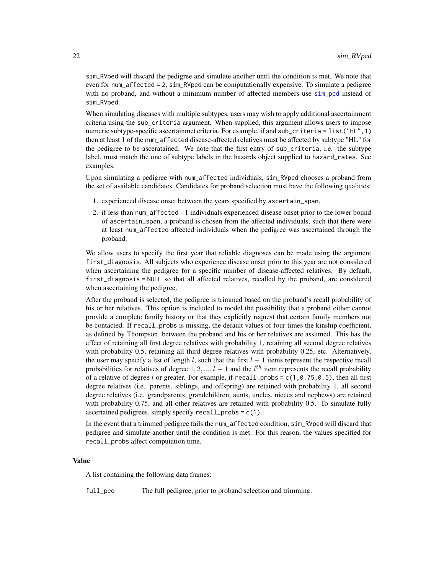<span id="page-21-0"></span>sim\_RVped will discard the pedigree and simulate another until the condition is met. We note that even for num\_affected = 2, sim\_RVped can be computationally expensive. To simulate a pedigree with no proband, and without a minimum number of affected members use sim ped instead of sim\_RVped.

When simulating diseases with multiple subtypes, users may wish to apply additional ascertainment criteria using the sub\_criteria argument. When supplied, this argument allows users to impose numeric subtype-specific ascertainmet criteria. For example, if and sub\_criteria = list("HL",1) then at least 1 of the num\_affected disease-affected relatives must be affected by subtype "HL" for the pedigree to be asceratained. We note that the first entry of sub\_criteria, i.e. the subtype label, must match the one of subtype labels in the hazards object supplied to hazard\_rates. See examples.

Upon simulating a pedigree with num\_affected individuals, sim\_RVped chooses a proband from the set of available candidates. Candidates for proband selection must have the following qualities:

- 1. experienced disease onset between the years specified by ascertain\_span,
- 2. if less than num\_affected 1 individuals experienced disease onset prior to the lower bound of ascertain\_span, a proband is chosen from the affected individuals, such that there were at least num\_affected affected individuals when the pedigree was ascertained through the proband.

We allow users to specify the first year that reliable diagnoses can be made using the argument first\_diagnosis. All subjects who experience disease onset prior to this year are not considered when ascertaining the pedigree for a specific number of disease-affected relatives. By default, first\_diagnosis = NULL so that all affected relatives, recalled by the proband, are considered when ascertaining the pedigree.

After the proband is selected, the pedigree is trimmed based on the proband's recall probability of his or her relatives. This option is included to model the possibility that a proband either cannot provide a complete family history or that they explicitly request that certain family members not be contacted. If recall\_probs is missing, the default values of four times the kinship coefficient, as defined by Thompson, between the proband and his or her relatives are assumed. This has the effect of retaining all first degree relatives with probability 1, retaining all second degree relatives with probability 0.5, retaining all third degree relatives with probability 0.25, etc. Alternatively, the user may specify a list of length l, such that the first  $l - 1$  items represent the respective recall probabilities for relatives of degree  $1, 2, ..., l-1$  and the  $l^{th}$  item represents the recall probability of a relative of degree l or greater. For example, if recall\_probs =  $c(1, 0.75, 0.5)$ , then all first degree relatives (i.e. parents, siblings, and offspring) are retained with probability 1, all second degree relatives (i.e. grandparents, grandchildren, aunts, uncles, nieces and nephews) are retained with probability 0.75, and all other relatives are retained with probability 0.5. To simulate fully ascertained pedigrees, simply specify recall\_probs = c(1).

In the event that a trimmed pedigree fails the num\_affected condition, sim\_RVped will discard that pedigree and simulate another until the condition is met. For this reason, the values specified for recall\_probs affect computation time.

#### Value

A list containing the following data frames:

full\_ped The full pedigree, prior to proband selection and trimming.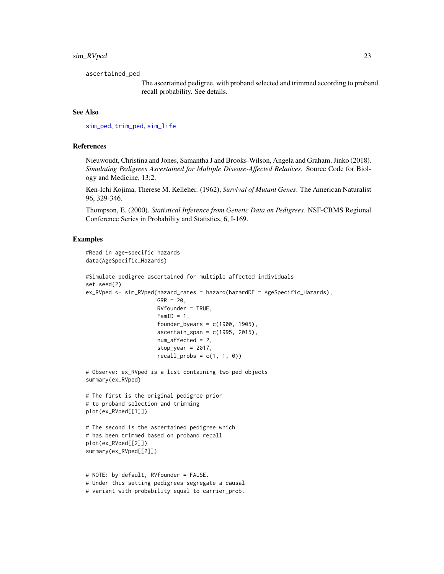# <span id="page-22-0"></span>sim\_RVped 23

ascertained\_ped

The ascertained pedigree, with proband selected and trimmed according to proband recall probability. See details.

# See Also

[sim\\_ped](#page-16-1), [trim\\_ped](#page-26-1), [sim\\_life](#page-13-1)

#### References

Nieuwoudt, Christina and Jones, Samantha J and Brooks-Wilson, Angela and Graham, Jinko (2018). *Simulating Pedigrees Ascertained for Multiple Disease-Affected Relatives*. Source Code for Biology and Medicine, 13:2.

Ken-Ichi Kojima, Therese M. Kelleher. (1962), *Survival of Mutant Genes*. The American Naturalist 96, 329-346.

Thompson, E. (2000). *Statistical Inference from Genetic Data on Pedigrees.* NSF-CBMS Regional Conference Series in Probability and Statistics, 6, I-169.

```
#Read in age-specific hazards
data(AgeSpecific_Hazards)
#Simulate pedigree ascertained for multiple affected individuals
set.seed(2)
ex_RVped <- sim_RVped(hazard_rates = hazard(hazardDF = AgeSpecific_Hazards),
                      GRR = 20,
                      RVfounder = TRUE,
                      FamID = 1,
                      founder_byears = c(1900, 1905),
                      ascertain_span = c(1995, 2015),
                      num_affected = 2,
                      stop_year = 2017,
                      recall_probs = c(1, 1, 0))# Observe: ex_RVped is a list containing two ped objects
summary(ex_RVped)
# The first is the original pedigree prior
# to proband selection and trimming
plot(ex_RVped[[1]])
# The second is the ascertained pedigree which
# has been trimmed based on proband recall
plot(ex_RVped[[2]])
summary(ex_RVped[[2]])
# NOTE: by default, RVfounder = FALSE.
# Under this setting pedigrees segregate a causal
# variant with probability equal to carrier_prob.
```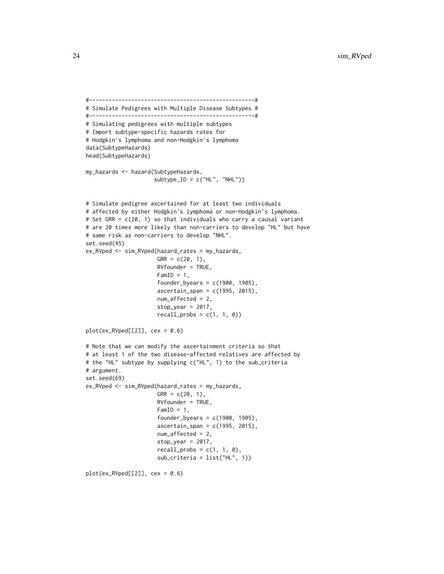```
#---------------------------------------------------#
# Simulate Pedigrees with Multiple Disease Subtypes #
#---------------------------------------------------#
# Simulating pedigrees with multiple subtypes
# Import subtype-specific hazards rates for
# Hodgkin's lymphoma and non-Hodgkin's lymphoma
data(SubtypeHazards)
head(SubtypeHazards)
my_hazards <- hazard(SubtypeHazards,
                     subtype\_ID = c("HL", "NHL"))# Simulate pedigree ascertained for at least two individuals
# affected by either Hodgkin's lymphoma or non-Hodgkin's lymphoma.
# Set GRR = c(20, 1) so that individuals who carry a causal variant
# are 20 times more likely than non-carriers to develop "HL" but have
# same risk as non-carriers to develop "NHL".
set.seed(45)
ex_RVped <- sim_RVped(hazard_rates = my_hazards,
                      GRR = c(20, 1),RVfounder = TRUE,
                      FamID = 1,
                      founder_byears = c(1900, 1905),
                      ascertain_span = c(1995, 2015),
                      num_affected = 2,
                      stop\_year = 2017,
                      recall\_probs = c(1, 1, 0)plot(ex_RVped[[2]], cex = 0.6)# Note that we can modify the ascertainment criteria so that
# at least 1 of the two disease-affected relatives are affected by
# the "HL" subtype by supplying c("HL", 1) to the sub_criteria
# argument.
set.seed(69)
ex_RVped <- sim_RVped(hazard_rates = my_hazards,
                      GRR = c(20, 1),RVfounder = TRUE,
                      FamID = 1,
                      founder_byears = c(1900, 1905),
                      ascertain_span = c(1995, 2015),
                      num_affected = 2,
                      stop_year = 2017,
                      recall\_probs = c(1, 1, 0),sub_criteria = list("HL", 1))
plot(ex_RVped[[2]], cex = 0.6)
```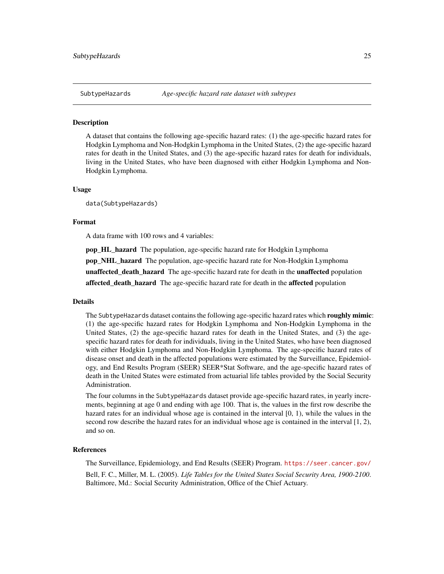<span id="page-24-0"></span>

#### Description

A dataset that contains the following age-specific hazard rates: (1) the age-specific hazard rates for Hodgkin Lymphoma and Non-Hodgkin Lymphoma in the United States, (2) the age-specific hazard rates for death in the United States, and (3) the age-specific hazard rates for death for individuals, living in the United States, who have been diagnosed with either Hodgkin Lymphoma and Non-Hodgkin Lymphoma.

#### Usage

data(SubtypeHazards)

#### Format

A data frame with 100 rows and 4 variables:

pop\_HL\_hazard The population, age-specific hazard rate for Hodgkin Lymphoma pop\_NHL\_hazard The population, age-specific hazard rate for Non-Hodgkin Lymphoma unaffected\_death\_hazard The age-specific hazard rate for death in the unaffected population affected\_death\_hazard The age-specific hazard rate for death in the affected population

#### Details

The SubtypeHazards dataset contains the following age-specific hazard rates which roughly mimic: (1) the age-specific hazard rates for Hodgkin Lymphoma and Non-Hodgkin Lymphoma in the United States, (2) the age-specific hazard rates for death in the United States, and (3) the agespecific hazard rates for death for individuals, living in the United States, who have been diagnosed with either Hodgkin Lymphoma and Non-Hodgkin Lymphoma. The age-specific hazard rates of disease onset and death in the affected populations were estimated by the Surveillance, Epidemiology, and End Results Program (SEER) SEER\*Stat Software, and the age-specific hazard rates of death in the United States were estimated from actuarial life tables provided by the Social Security Administration.

The four columns in the SubtypeHazards dataset provide age-specific hazard rates, in yearly increments, beginning at age 0 and ending with age 100. That is, the values in the first row describe the hazard rates for an individual whose age is contained in the interval [0, 1), while the values in the second row describe the hazard rates for an individual whose age is contained in the interval [1, 2), and so on.

# References

The Surveillance, Epidemiology, and End Results (SEER) Program. <https://seer.cancer.gov/> Bell, F. C., Miller, M. L. (2005). *Life Tables for the United States Social Security Area, 1900-2100*. Baltimore, Md.: Social Security Administration, Office of the Chief Actuary.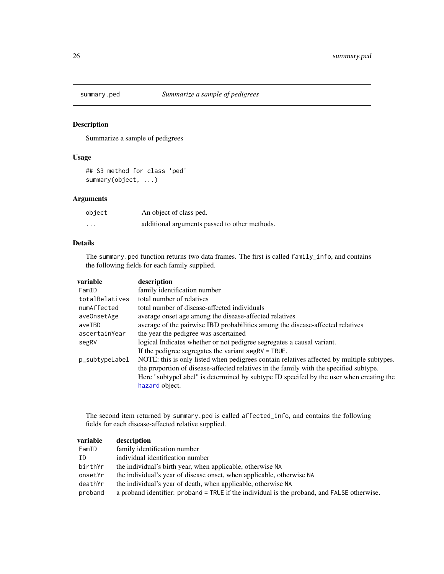<span id="page-25-0"></span>

# Description

Summarize a sample of pedigrees

# Usage

## S3 method for class 'ped' summary(object, ...)

# Arguments

| object   | An object of class ped.                       |
|----------|-----------------------------------------------|
| $\cdots$ | additional arguments passed to other methods. |

# Details

The summary.ped function returns two data frames. The first is called family\_info, and contains the following fields for each family supplied.

| variable       | description                                                                               |
|----------------|-------------------------------------------------------------------------------------------|
| FamID          | family identification number                                                              |
| totalRelatives | total number of relatives                                                                 |
| numAffected    | total number of disease-affected individuals                                              |
| aveOnsetAge    | average onset age among the disease-affected relatives                                    |
| aveIBD         | average of the pairwise IBD probabilities among the disease-affected relatives            |
| ascertainYear  | the year the pedigree was ascertained                                                     |
| segRV          | logical Indicates whether or not pedigree segregates a causal variant.                    |
|                | If the pedigree segregates the variant segR $V = TRUE$ .                                  |
| p_subtypeLabel | NOTE: this is only listed when pedigrees contain relatives affected by multiple subtypes. |
|                | the proportion of disease-affected relatives in the family with the specified subtype.    |
|                | Here "subtype Label" is determined by subtype ID specifed by the user when creating the   |
|                | hazard object.                                                                            |

The second item returned by summary.ped is called affected\_info, and contains the following fields for each disease-affected relative supplied.

| description                                                                                 |
|---------------------------------------------------------------------------------------------|
| family identification number                                                                |
| individual identification number                                                            |
| the individual's birth year, when applicable, otherwise NA                                  |
| the individual's year of disease onset, when applicable, otherwise NA                       |
| the individual's year of death, when applicable, otherwise NA                               |
| a proband identifier: proband = TRUE if the individual is the proband, and FALSE otherwise. |
|                                                                                             |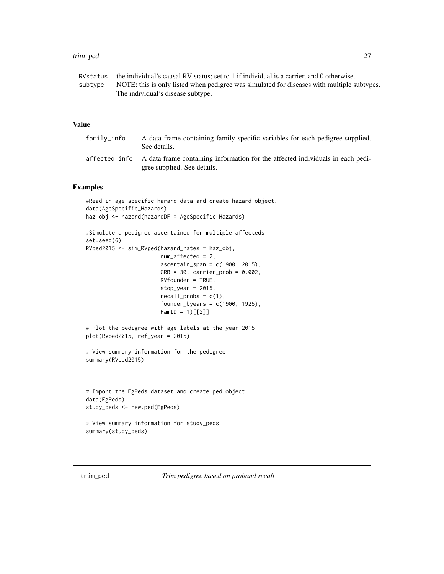#### <span id="page-26-0"></span>trim\_ped 27

| RVstatus | the individual's causal RV status; set to 1 if individual is a carrier, and 0 otherwise.   |
|----------|--------------------------------------------------------------------------------------------|
| subtvpe  | NOTE: this is only listed when pedigree was simulated for diseases with multiple subtypes. |
|          | The individual's disease subtype.                                                          |

# Value

| family_info | A data frame containing family specific variables for each pedigree supplied.<br>See details.                               |
|-------------|-----------------------------------------------------------------------------------------------------------------------------|
|             | affected info A data frame containing information for the affected individuals in each pedi-<br>gree supplied. See details. |

# Examples

```
#Read in age-specific harard data and create hazard object.
data(AgeSpecific_Hazards)
haz_obj <- hazard(hazardDF = AgeSpecific_Hazards)
#Simulate a pedigree ascertained for multiple affecteds
set.seed(6)
RVped2015 <- sim_RVped(hazard_rates = haz_obj,
                       num_affected = 2,
                       ascertain_span = c(1900, 2015),GRR = 30, carrier_prob = 0.002,
                       RVfounder = TRUE,
                       stop_year = 2015,
                       recall_probs = c(1),
                       founder_byears = c(1900, 1925),
                       FamID = 1)[[2]]# Plot the pedigree with age labels at the year 2015
plot(RVped2015, ref_year = 2015)
# View summary information for the pedigree
summary(RVped2015)
# Import the EgPeds dataset and create ped object
data(EgPeds)
study_peds <- new.ped(EgPeds)
# View summary information for study_peds
```

```
summary(study_peds)
```
<span id="page-26-1"></span>trim\_ped *Trim pedigree based on proband recall*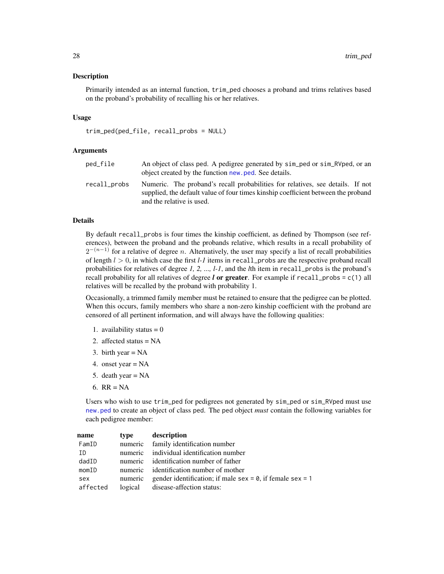#### <span id="page-27-0"></span>Description

Primarily intended as an internal function, trim\_ped chooses a proband and trims relatives based on the proband's probability of recalling his or her relatives.

#### Usage

trim\_ped(ped\_file, recall\_probs = NULL)

#### Arguments

| ped_file     | An object of class ped. A pedigree generated by sim ped or sim RVped, or an<br>object created by the function new ped. See details.                                                              |
|--------------|--------------------------------------------------------------------------------------------------------------------------------------------------------------------------------------------------|
| recall_probs | Numeric. The proband's recall probabilities for relatives, see details. If not<br>supplied, the default value of four times kinship coefficient between the proband<br>and the relative is used. |

# Details

By default recall\_probs is four times the kinship coefficient, as defined by Thompson (see references), between the proband and the probands relative, which results in a recall probability of  $2^{-(n-1)}$  for a relative of degree n. Alternatively, the user may specify a list of recall probabilities of length  $l > 0$ , in which case the first  $l-1$  items in recall probs are the respective proband recall probabilities for relatives of degree *1, 2, ..., l-1*, and the *l*th item in recall\_probs is the proband's recall probability for all relatives of degree  $l$  or greater. For example if recall\_probs =  $c(1)$  all relatives will be recalled by the proband with probability 1.

Occasionally, a trimmed family member must be retained to ensure that the pedigree can be plotted. When this occurs, family members who share a non-zero kinship coefficient with the proband are censored of all pertinent information, and will always have the following qualities:

- 1. availability status  $= 0$
- 2. affected status = NA
- 3. birth year  $= NA$
- 4. onset year = NA
- 5. death year = NA
- 6.  $RR = NA$

Users who wish to use trim\_ped for pedigrees not generated by sim\_ped or sim\_RVped must use [new.ped](#page-7-1) to create an object of class ped. The ped object *must* contain the following variables for each pedigree member:

| name     | type    | description                                                       |
|----------|---------|-------------------------------------------------------------------|
| FamID    |         | numeric family identification number                              |
| ID       |         | numeric individual identification number                          |
| dadID    |         | numeric identification number of father                           |
| momID    |         | numeric identification number of mother                           |
| sex      | numeric | gender identification; if male sex = $\theta$ , if female sex = 1 |
| affected |         | logical disease-affection status:                                 |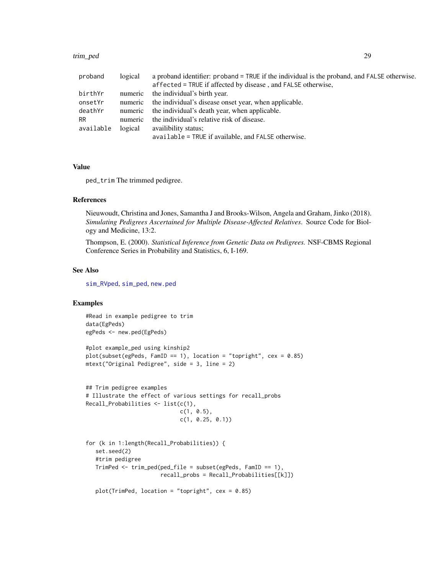#### <span id="page-28-0"></span>trim\_ped 29

| proband   | logical | a proband identifier: proband = TRUE if the individual is the proband, and FALSE otherwise. |
|-----------|---------|---------------------------------------------------------------------------------------------|
|           |         | affected = TRUE if affected by disease, and FALSE otherwise,                                |
| birthYr   | numeric | the individual's birth year.                                                                |
| onsetYr   | numeric | the individual's disease onset year, when applicable.                                       |
| deathYr   |         | numeric the individual's death year, when applicable.                                       |
| <b>RR</b> | numeric | the individual's relative risk of disease.                                                  |
| available | logical | availibility status;                                                                        |
|           |         | available = TRUE if available, and FALSE otherwise.                                         |

# Value

ped\_trim The trimmed pedigree.

# References

Nieuwoudt, Christina and Jones, Samantha J and Brooks-Wilson, Angela and Graham, Jinko (2018). *Simulating Pedigrees Ascertained for Multiple Disease-Affected Relatives*. Source Code for Biology and Medicine, 13:2.

Thompson, E. (2000). *Statistical Inference from Genetic Data on Pedigrees.* NSF-CBMS Regional Conference Series in Probability and Statistics, 6, I-169.

#### See Also

[sim\\_RVped](#page-19-1), [sim\\_ped](#page-16-1), [new.ped](#page-7-1)

```
#Read in example pedigree to trim
data(EgPeds)
egPeds <- new.ped(EgPeds)
#plot example_ped using kinship2
plot(subset(egPeds, FamID == 1), location = "topright", cex = 0.85)mtext("Original Pedigree", side = 3, line = 2)
## Trim pedigree examples
# Illustrate the effect of various settings for recall_probs
Recall_Probabilities <- list(c(1),
                             c(1, 0.5),
                             c(1, 0.25, 0.1))
for (k in 1:length(Recall_Probabilities)) {
   set.seed(2)
   #trim pedigree
   TrimPed <- trim_ped(ped_file = subset(egPeds, FamID == 1),
                       recall_probs = Recall_Probabilities[[k]])
   plot(TrimPed, location = "topright", cex = 0.85)
```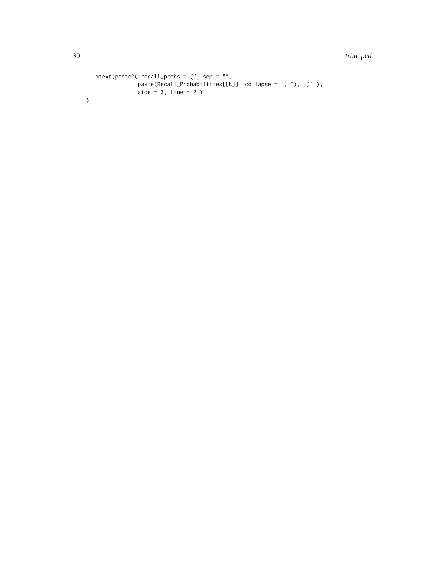30 trim\_ped

```
mtext{text(paste0("recall\_probs = (", sep = "",paste(Recall_Probabilities[[k]], collapse = ", "), ')' ),
            side = 3, line = 2)
```
}